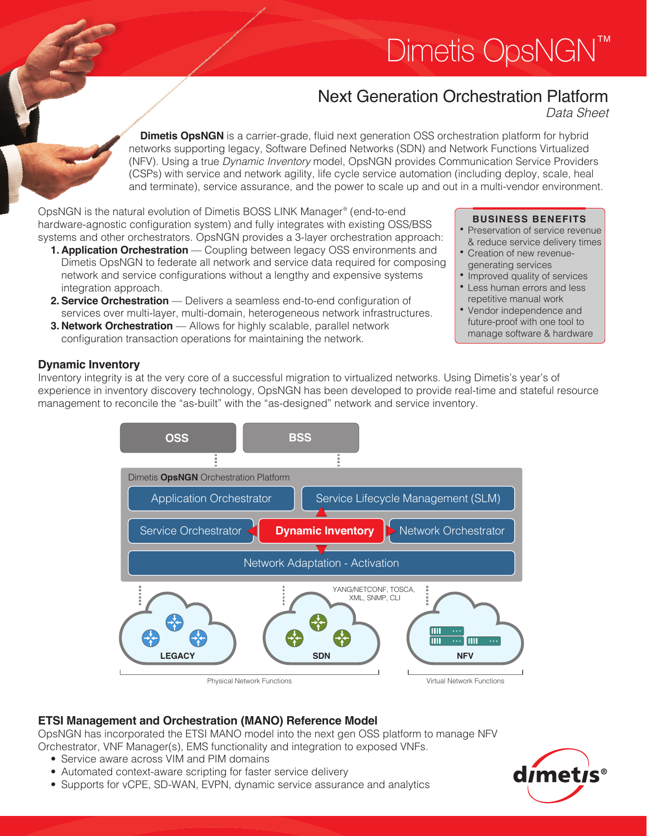# Dimetis OpsNGN<sup>™</sup>

# Next Generation Orchestration Platform

*Data Sheet*

**Dimetis OpsNGN** is a carrier-grade, fluid next generation OSS orchestration platform for hybrid networks supporting legacy, Software Defined Networks (SDN) and Network Functions Virtualized (NFV). Using a true *Dynamic Inventory* model, OpsNGN provides Communication Service Providers (CSPs) with service and network agility, life cycle service automation (including deploy, scale, heal and terminate), service assurance, and the power to scale up and out in a multi-vendor environment.

OpsNGN is the natural evolution of Dimetis BOSS LINK Manager® (end-to-end hardware-agnostic configuration system) and fully integrates with existing OSS/BSS systems and other orchestrators. OpsNGN provides a 3-layer orchestration approach:

- **1. Application Orchestration** Coupling between legacy OSS environments and Dimetis OpsNGN to federate all network and service data required for composing network and service configurations without a lengthy and expensive systems integration approach.
- **2. Service Orchestration** Delivers a seamless end-to-end configuration of services over multi-layer, multi-domain, heterogeneous network infrastructures.
- **3. Network Orchestration** Allows for highly scalable, parallel network configuration transaction operations for maintaining the network.

## **BUSINESS BENEFITS**

- Preservation of service revenue & reduce service delivery times
- • Creation of new revenuegenerating services
- Improved quality of services
- Less human errors and less repetitive manual work
- • Vendor independence and future-proof with one tool to manage software & hardware

# **Dynamic Inventory**

Inventory integrity is at the very core of a successful migration to virtualized networks. Using Dimetis's year's of experience in inventory discovery technology, OpsNGN has been developed to provide real-time and stateful resource management to reconcile the "as-built" with the "as-designed" network and service inventory.



# **ETSI Management and Orchestration (MANO) Reference Model**

OpsNGN has incorporated the ETSI MANO model into the next gen OSS platform to manage NFV Orchestrator, VNF Manager(s), EMS functionality and integration to exposed VNFs.

- Service aware across VIM and PIM domains
- Automated context-aware scripting for faster service delivery
- Supports for vCPE, SD-WAN, EVPN, dynamic service assurance and analytics